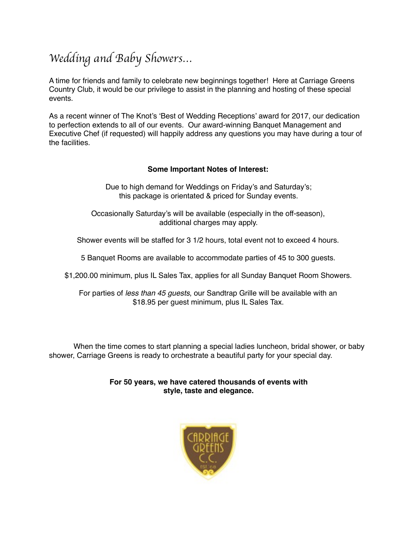## *Wedding and Baby Showers…*

A time for friends and family to celebrate new beginnings together! Here at Carriage Greens Country Club, it would be our privilege to assist in the planning and hosting of these special events.

As a recent winner of The Knot's 'Best of Wedding Receptions' award for 2017, our dedication to perfection extends to all of our events. Our award-winning Banquet Management and Executive Chef (if requested) will happily address any questions you may have during a tour of the facilities.

#### **Some Important Notes of Interest:**

Due to high demand for Weddings on Friday's and Saturday's; this package is orientated & priced for Sunday events.

Occasionally Saturday's will be available (especially in the off-season), additional charges may apply.

Shower events will be staffed for 3 1/2 hours, total event not to exceed 4 hours.

5 Banquet Rooms are available to accommodate parties of 45 to 300 guests.

\$1,200.00 minimum, plus IL Sales Tax, applies for all Sunday Banquet Room Showers.

For parties of *less than 45 guests*, our Sandtrap Grille will be available with an \$18.95 per guest minimum, plus IL Sales Tax.

When the time comes to start planning a special ladies luncheon, bridal shower, or baby shower, Carriage Greens is ready to orchestrate a beautiful party for your special day.

> **For 50 years, we have catered thousands of events with style, taste and elegance.**

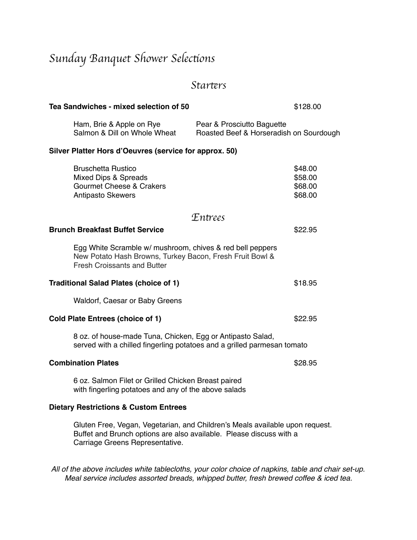# *Sunday Banquet Shower Selec*t*ons*

### *Star*t*rs*

| Tea Sandwiches - mixed selection of 50                                                                                                                                                 |                                                                       | \$128.00                                 |
|----------------------------------------------------------------------------------------------------------------------------------------------------------------------------------------|-----------------------------------------------------------------------|------------------------------------------|
| Ham, Brie & Apple on Rye<br>Salmon & Dill on Whole Wheat                                                                                                                               | Pear & Prosciutto Baguette<br>Roasted Beef & Horseradish on Sourdough |                                          |
| Silver Platter Hors d'Oeuvres (service for approx. 50)                                                                                                                                 |                                                                       |                                          |
| <b>Bruschetta Rustico</b><br>Mixed Dips & Spreads<br><b>Gourmet Cheese &amp; Crakers</b><br><b>Antipasto Skewers</b>                                                                   |                                                                       | \$48.00<br>\$58.00<br>\$68.00<br>\$68.00 |
|                                                                                                                                                                                        | <i>Entrees</i>                                                        |                                          |
| <b>Brunch Breakfast Buffet Service</b>                                                                                                                                                 |                                                                       | \$22.95                                  |
| Egg White Scramble w/ mushroom, chives & red bell peppers<br>New Potato Hash Browns, Turkey Bacon, Fresh Fruit Bowl &<br><b>Fresh Croissants and Butter</b>                            |                                                                       |                                          |
| <b>Traditional Salad Plates (choice of 1)</b>                                                                                                                                          |                                                                       | \$18.95                                  |
| Waldorf, Caesar or Baby Greens                                                                                                                                                         |                                                                       |                                          |
| <b>Cold Plate Entrees (choice of 1)</b>                                                                                                                                                |                                                                       | \$22.95                                  |
| 8 oz. of house-made Tuna, Chicken, Egg or Antipasto Salad,<br>served with a chilled fingerling potatoes and a grilled parmesan tomato                                                  |                                                                       |                                          |
| <b>Combination Plates</b>                                                                                                                                                              |                                                                       | \$28.95                                  |
| 6 oz. Salmon Filet or Grilled Chicken Breast paired<br>with fingerling potatoes and any of the above salads                                                                            |                                                                       |                                          |
| <b>Dietary Restrictions &amp; Custom Entrees</b>                                                                                                                                       |                                                                       |                                          |
| Gluten Free, Vegan, Vegetarian, and Children's Meals available upon request.<br>Buffet and Brunch options are also available. Please discuss with a<br>Carriage Greens Representative. |                                                                       |                                          |

*All of the above includes white tablecloths, your color choice of napkins, table and chair set-up. Meal service includes assorted breads, whipped butter, fresh brewed coffee & iced tea.*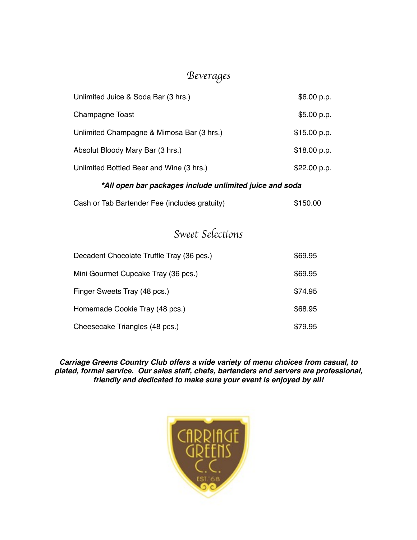## *Beverages*

| Unlimited Juice & Soda Bar (3 hrs.)       | \$6.00 p.p.  |
|-------------------------------------------|--------------|
| Champagne Toast                           | \$5.00 p.p.  |
| Unlimited Champagne & Mimosa Bar (3 hrs.) | \$15.00 p.p. |
| Absolut Bloody Mary Bar (3 hrs.)          | \$18.00 p.p. |
| Unlimited Bottled Beer and Wine (3 hrs.)  | \$22.00 p.p. |

### *\*All open bar packages include unlimited juice and soda*

| Cash or Tab Bartender Fee (includes gratuity) | \$150.00 |
|-----------------------------------------------|----------|
|                                               |          |

## *Sweet Selec*t*ons*

| Decadent Chocolate Truffle Tray (36 pcs.) | \$69.95 |
|-------------------------------------------|---------|
| Mini Gourmet Cupcake Tray (36 pcs.)       | \$69.95 |
| Finger Sweets Tray (48 pcs.)              | \$74.95 |
| Homemade Cookie Tray (48 pcs.)            | \$68.95 |
| Cheesecake Triangles (48 pcs.)            | \$79.95 |

*Carriage Greens Country Club offers a wide variety of menu choices from casual, to plated, formal service. Our sales staff, chefs, bartenders and servers are professional, friendly and dedicated to make sure your event is enjoyed by all!*